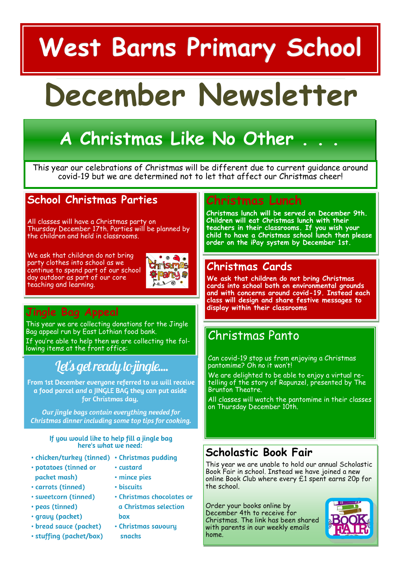# **West Barns Primary School**

# **December Newsletter**

# **A Christmas Like No Other . . .**

This year our celebrations of Christmas will be different due to current guidance around covid-19 but we are determined not to let that affect our Christmas cheer!

## **School Christmas Parties**

All classes will have a Christmas party on Thursday December 17th. Parties will be planned by the children and held in classrooms.

We ask that children do not bring party clothes into school as we continue to spend part of our school day outdoor as part of our core teaching and learning.



# **Jingle Bag Appeal**

This year we are collecting donations for the Jingle Bag appeal run by East Lothian food bank. If you're able to help then we are collecting the following items at the front office:

# let's get ready to jingle...

From 1st December everyone referred to us will receive a food parcel and a JINGLE BAG they can put aside for Christmas dau.

Our jingle bags contain everything needed for Christmas dinner including some top tips for cooking.

#### If you would like to help fill a jingle bag here's what we need:

- chicken/turkey (tinned) Christmas pudding
- · potatoes (tinned or packet mash)
- custard · mince pies

· biscuits

- · carrots (tinned)
- · sweetcorn (tinned)
- · peas (tinned)
- · gravy (packet)
- · bread sauce (packet)
- · stuffing (packet/box)
- a Christmas selection box

· Christmas chocolates or

• Christmas savoury snacks

## **Christmas Lunch**

**Christmas lunch will be served on December 9th. Children will eat Christmas lunch with their teachers in their classrooms. If you wish your child to have a Christmas school lunch then please order on the iPay system by December 1st.**

## **Christmas Cards**

**We ask that children do not bring Christmas cards into school both on environmental grounds and with concerns around covid-19. Instead each class will design and share festive messages to display within their classrooms**

# Christmas Panto

Can covid-19 stop us from enjoying a Christmas pantomime? Oh no it won't!

We are delighted to be able to enjoy a virtual retelling of the story of Rapunzel, presented by The Brunton Theatre.

All classes will watch the pantomime in their classes on Thursday December 10th.

# **Scholastic Book Fair**

This year we are unable to hold our annual Scholastic Book Fair in school. Instead we have joined a new online Book Club where every £1 spent earns 20p for the school.

Order your books online by December 4th to receive for Christmas. The link has been shared with parents in our weekly emails home.